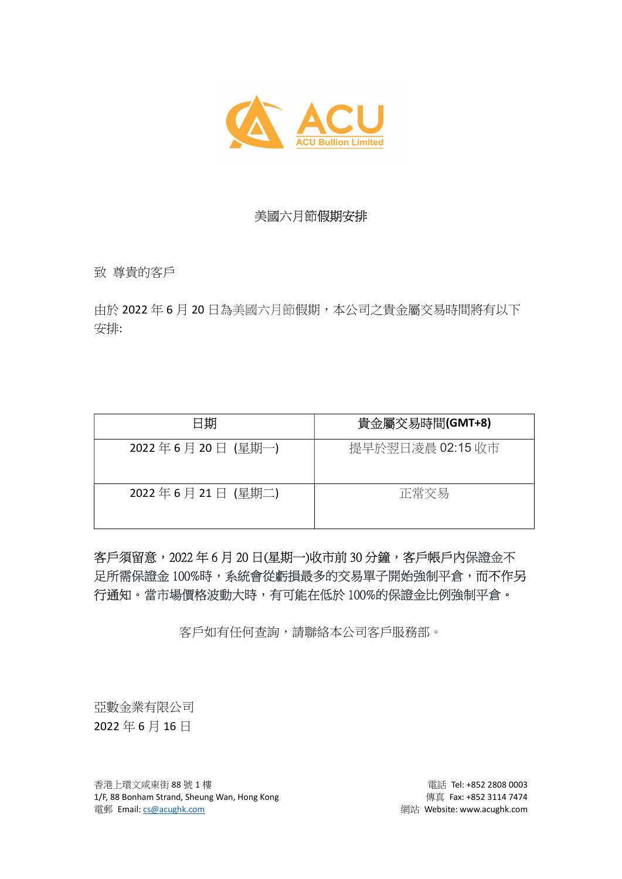

## 美國六月節假期安排

致 尊貴的客戶

由於 2022 年 6 月 20 日為美國六月節假期,本公司之貴金屬交易時間將有以下 安排:

| 日期               | 貴金屬交易時間(GMT+8)   |
|------------------|------------------|
| 2022年6月20日 (星期一) | 提早於翌日凌晨 02:15 收市 |
| 2022年6月21日 (星期二) | 正常交易             |

客戶須留意,2022年6月20日(星期一)收市前30分鐘,客戶帳戶內保證金不 足所需保證金 100%時,系統會從虧損最多的交易單子開始強制平倉,而不作另 行通知。當市場價格波動大時,有可能在低於 100%的保證金比例強制平倉。

客戶如有任何查詢,請聯絡本公司客戶服務部。

亞數金業有限公司 2022 年 6 月 16 日

香港上環文咸東街 88 號 1 樓 **電話 Tel: +852 2808 0003** 1/F, 88 Bonham Strand, Sheung Wan, Hong Kong extending the state of the quality quality of the state of 114 7474 電郵 Email: cs@acughk.com 網站 Website: www.acughk.com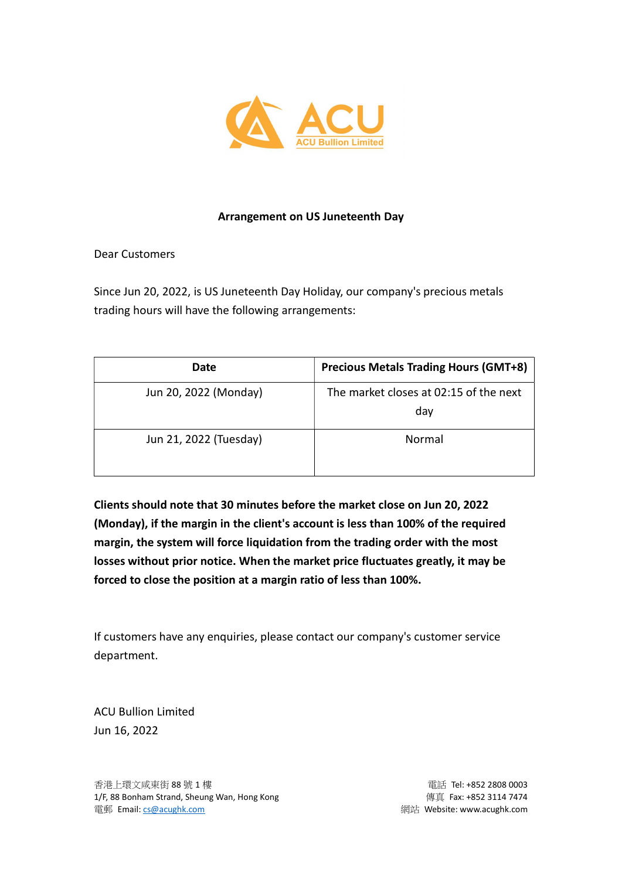

## Arrangement on US Juneteenth Day

Dear Customers

Since Jun 20, 2022, is US Juneteenth Day Holiday, our company's precious metals trading hours will have the following arrangements:

| Date                   | <b>Precious Metals Trading Hours (GMT+8)</b>  |
|------------------------|-----------------------------------------------|
| Jun 20, 2022 (Monday)  | The market closes at 02:15 of the next<br>day |
| Jun 21, 2022 (Tuesday) | Normal                                        |

Clients should note that 30 minutes before the market close on Jun 20, 2022 (Monday), if the margin in the client's account is less than 100% of the required margin, the system will force liquidation from the trading order with the most losses without prior notice. When the market price fluctuates greatly, it may be forced to close the position at a margin ratio of less than 100%.

If customers have any enquiries, please contact our company's customer service department.

ACU Bullion Limited Jun 16, 2022